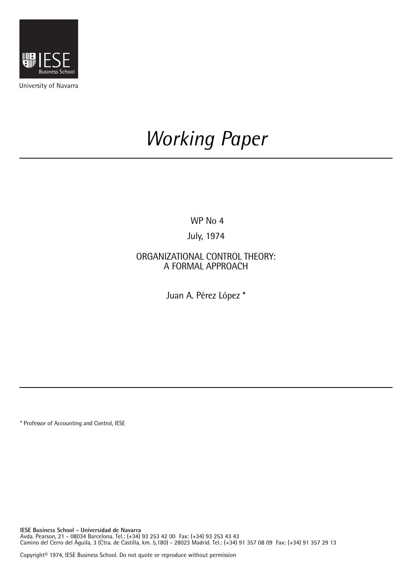

University of Navarra

# *Working Paper*

WP No 4

# July, 1974

# ORGANIZATIONAL CONTROL THEORY: A FORMAL APPROACH

Juan A. Pérez López \*

\* Professor of Accounting and Control, IESE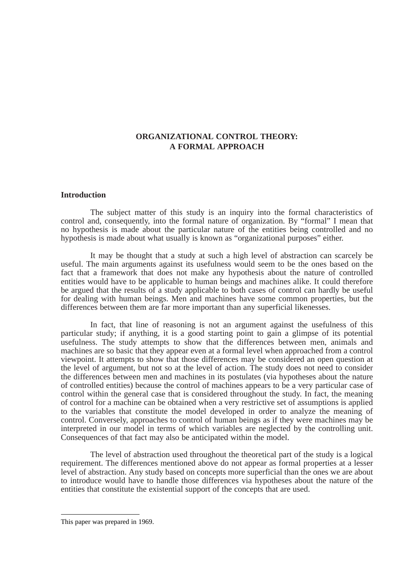# **ORGANIZATIONAL CONTROL THEORY: A FORMAL APPROACH**

# **Introduction**

The subject matter of this study is an inquiry into the formal characteristics of control and, consequently, into the formal nature of organization. By "formal" I mean that no hypothesis is made about the particular nature of the entities being controlled and no hypothesis is made about what usually is known as "organizational purposes" either.

It may be thought that a study at such a high level of abstraction can scarcely be useful. The main arguments against its usefulness would seem to be the ones based on the fact that a framework that does not make any hypothesis about the nature of controlled entities would have to be applicable to human beings and machines alike. It could therefore be argued that the results of a study applicable to both cases of control can hardly be useful for dealing with human beings. Men and machines have some common properties, but the differences between them are far more important than any superficial likenesses.

In fact, that line of reasoning is not an argument against the usefulness of this particular study; if anything, it is a good starting point to gain a glimpse of its potential usefulness. The study attempts to show that the differences between men, animals and machines are so basic that they appear even at a formal level when approached from a control viewpoint. It attempts to show that those differences may be considered an open question at the level of argument, but not so at the level of action. The study does not need to consider the differences between men and machines in its postulates (via hypotheses about the nature of controlled entities) because the control of machines appears to be a very particular case of control within the general case that is considered throughout the study. In fact, the meaning of control for a machine can be obtained when a very restrictive set of assumptions is applied to the variables that constitute the model developed in order to analyze the meaning of control. Conversely, approaches to control of human beings as if they were machines may be interpreted in our model in terms of which variables are neglected by the controlling unit. Consequences of that fact may also be anticipated within the model.

The level of abstraction used throughout the theoretical part of the study is a logical requirement. The differences mentioned above do not appear as formal properties at a lesser level of abstraction. Any study based on concepts more superficial than the ones we are about to introduce would have to handle those differences via hypotheses about the nature of the entities that constitute the existential support of the concepts that are used.

This paper was prepared in 1969.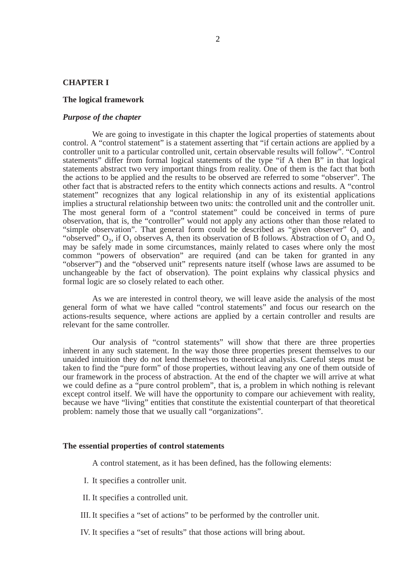# **CHAPTER I**

# **The logical framework**

# *Purpose of the chapter*

We are going to investigate in this chapter the logical properties of statements about control. A "control statement" is a statement asserting that "if certain actions are applied by a controller unit to a particular controlled unit, certain observable results will follow". "Control statements" differ from formal logical statements of the type "if A then B" in that logical statements abstract two very important things from reality. One of them is the fact that both the actions to be applied and the results to be observed are referred to some "observer". The other fact that is abstracted refers to the entity which connects actions and results. A "control statement" recognizes that any logical relationship in any of its existential applications implies a structural relationship between two units: the controlled unit and the controller unit. The most general form of a "control statement" could be conceived in terms of pure observation, that is, the "controller" would not apply any actions other than those related to "simple observation". That general form could be described as "given observer"  $O_1$  and "observed"  $O_2$ , if  $O_1$  observes A, then its observation of B follows. Abstraction of  $O_1$  and  $O_2$ may be safely made in some circumstances, mainly related to cases where only the most common "powers of observation" are required (and can be taken for granted in any "observer") and the "observed unit" represents nature itself (whose laws are assumed to be unchangeable by the fact of observation). The point explains why classical physics and formal logic are so closely related to each other.

As we are interested in control theory, we will leave aside the analysis of the most general form of what we have called "control statements" and focus our research on the actions-results sequence, where actions are applied by a certain controller and results are relevant for the same controller.

Our analysis of "control statements" will show that there are three properties inherent in any such statement. In the way those three properties present themselves to our unaided intuition they do not lend themselves to theoretical analysis. Careful steps must be taken to find the "pure form" of those properties, without leaving any one of them outside of our framework in the process of abstraction. At the end of the chapter we will arrive at what we could define as a "pure control problem", that is, a problem in which nothing is relevant except control itself. We will have the opportunity to compare our achievement with reality, because we have "living" entities that constitute the existential counterpart of that theoretical problem: namely those that we usually call "organizations".

#### **The essential properties of control statements**

A control statement, as it has been defined, has the following elements:

- I. It specifies a controller unit.
- II. It specifies a controlled unit.
- III. It specifies a "set of actions" to be performed by the controller unit.
- IV. It specifies a "set of results" that those actions will bring about.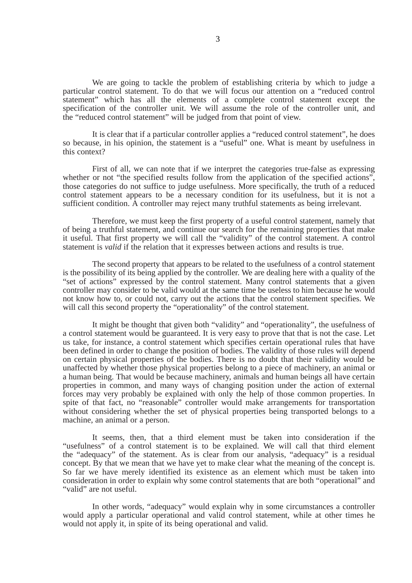We are going to tackle the problem of establishing criteria by which to judge a particular control statement. To do that we will focus our attention on a "reduced control statement" which has all the elements of a complete control statement except the specification of the controller unit. We will assume the role of the controller unit, and the "reduced control statement" will be judged from that point of view.

It is clear that if a particular controller applies a "reduced control statement", he does so because, in his opinion, the statement is a "useful" one. What is meant by usefulness in this context?

First of all, we can note that if we interpret the categories true-false as expressing whether or not "the specified results follow from the application of the specified actions", those categories do not suffice to judge usefulness. More specifically, the truth of a reduced control statement appears to be a necessary condition for its usefulness, but it is not a sufficient condition. A controller may reject many truthful statements as being irrelevant.

Therefore, we must keep the first property of a useful control statement, namely that of being a truthful statement, and continue our search for the remaining properties that make it useful. That first property we will call the "validity" of the control statement. A control statement is *valid* if the relation that it expresses between actions and results is true.

The second property that appears to be related to the usefulness of a control statement is the possibility of its being applied by the controller. We are dealing here with a quality of the "set of actions" expressed by the control statement. Many control statements that a given controller may consider to be valid would at the same time be useless to him because he would not know how to, or could not, carry out the actions that the control statement specifies. We will call this second property the "operationality" of the control statement.

It might be thought that given both "validity" and "operationality", the usefulness of a control statement would be guaranteed. It is very easy to prove that that is not the case. Let us take, for instance, a control statement which specifies certain operational rules that have been defined in order to change the position of bodies. The validity of those rules will depend on certain physical properties of the bodies. There is no doubt that their validity would be unaffected by whether those physical properties belong to a piece of machinery, an animal or a human being. That would be because machinery, animals and human beings all have certain properties in common, and many ways of changing position under the action of external forces may very probably be explained with only the help of those common properties. In spite of that fact, no "reasonable" controller would make arrangements for transportation without considering whether the set of physical properties being transported belongs to a machine, an animal or a person.

It seems, then, that a third element must be taken into consideration if the "usefulness" of a control statement is to be explained. We will call that third element the "adequacy" of the statement. As is clear from our analysis, "adequacy" is a residual concept. By that we mean that we have yet to make clear what the meaning of the concept is. So far we have merely identified its existence as an element which must be taken into consideration in order to explain why some control statements that are both "operational" and "valid" are not useful.

In other words, "adequacy" would explain why in some circumstances a controller would apply a particular operational and valid control statement, while at other times he would not apply it, in spite of its being operational and valid.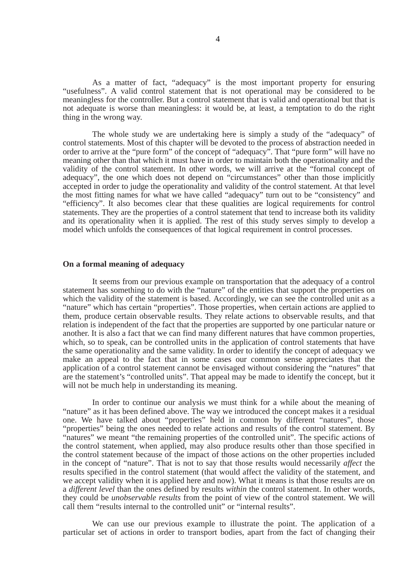As a matter of fact, "adequacy" is the most important property for ensuring "usefulness". A valid control statement that is not operational may be considered to be meaningless for the controller. But a control statement that is valid and operational but that is not adequate is worse than meaningless: it would be, at least, a temptation to do the right thing in the wrong way.

The whole study we are undertaking here is simply a study of the "adequacy" of control statements. Most of this chapter will be devoted to the process of abstraction needed in order to arrive at the "pure form" of the concept of "adequacy". That "pure form" will have no meaning other than that which it must have in order to maintain both the operationality and the validity of the control statement. In other words, we will arrive at the "formal concept of adequacy", the one which does not depend on "circumstances" other than those implicitly accepted in order to judge the operationality and validity of the control statement. At that level the most fitting names for what we have called "adequacy" turn out to be "consistency" and "efficiency". It also becomes clear that these qualities are logical requirements for control statements. They are the properties of a control statement that tend to increase both its validity and its operationality when it is applied. The rest of this study serves simply to develop a model which unfolds the consequences of that logical requirement in control processes.

#### **On a formal meaning of adequacy**

It seems from our previous example on transportation that the adequacy of a control statement has something to do with the "nature" of the entities that support the properties on which the validity of the statement is based. Accordingly, we can see the controlled unit as a "nature" which has certain "properties". Those properties, when certain actions are applied to them, produce certain observable results. They relate actions to observable results, and that relation is independent of the fact that the properties are supported by one particular nature or another. It is also a fact that we can find many different natures that have common properties, which, so to speak, can be controlled units in the application of control statements that have the same operationality and the same validity. In order to identify the concept of adequacy we make an appeal to the fact that in some cases our common sense appreciates that the application of a control statement cannot be envisaged without considering the "natures" that are the statement's "controlled units". That appeal may be made to identify the concept, but it will not be much help in understanding its meaning.

In order to continue our analysis we must think for a while about the meaning of "nature" as it has been defined above. The way we introduced the concept makes it a residual one. We have talked about "properties" held in common by different "natures", those "properties" being the ones needed to relate actions and results of the control statement. By "natures" we meant "the remaining properties of the controlled unit". The specific actions of the control statement, when applied, may also produce results other than those specified in the control statement because of the impact of those actions on the other properties included in the concept of "nature". That is not to say that those results would necessarily *affect* the results specified in the control statement (that would affect the validity of the statement, and we accept validity when it is applied here and now). What it means is that those results are on a *different level* than the ones defined by results *within* the control statement. In other words, they could be *unobservable results* from the point of view of the control statement. We will call them "results internal to the controlled unit" or "internal results".

We can use our previous example to illustrate the point. The application of a particular set of actions in order to transport bodies, apart from the fact of changing their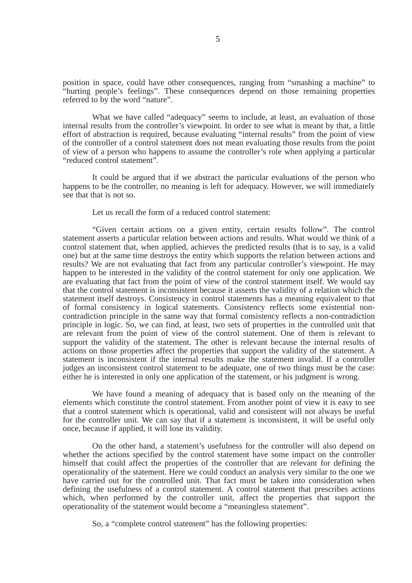position in space, could have other consequences, ranging from "smashing a machine" to "hurting people's feelings". These consequences depend on those remaining properties referred to by the word "nature".

What we have called "adequacy" seems to include, at least, an evaluation of those internal results from the controller's viewpoint. In order to see what is meant by that, a little effort of abstraction is required, because evaluating "internal results" from the point of view of the controller of a control statement does not mean evaluating those results from the point of view of a person who happens to assume the controller's role when applying a particular "reduced control statement".

It could be argued that if we abstract the particular evaluations of the person who happens to be the controller, no meaning is left for adequacy. However, we will immediately see that that is not so.

Let us recall the form of a reduced control statement:

"Given certain actions on a given entity, certain results follow". The control statement asserts a particular relation between actions and results. What would we think of a control statement that, when applied, achieves the predicted results (that is to say, is a valid one) but at the same time destroys the entity which supports the relation between actions and results? We are not evaluating that fact from any particular controller's viewpoint. He may happen to be interested in the validity of the control statement for only one application. We are evaluating that fact from the point of view of the control statement itself. We would say that the control statement is inconsistent because it asserts the validity of a relation which the statement itself destroys. Consistency in control statements has a meaning equivalent to that of formal consistency in logical statements. Consistency reflects some existential noncontradiction principle in the same way that formal consistency reflects a non-contradiction principle in logic. So, we can find, at least, two sets of properties in the controlled unit that are relevant from the point of view of the control statement. One of them is relevant to support the validity of the statement. The other is relevant because the internal results of actions on those properties affect the properties that support the validity of the statement. A statement is inconsistent if the internal results make the statement invalid. If a controller judges an inconsistent control statement to be adequate, one of two things must be the case: either he is interested in only one application of the statement, or his judgment is wrong.

We have found a meaning of adequacy that is based only on the meaning of the elements which constitute the control statement. From another point of view it is easy to see that a control statement which is operational, valid and consistent will not always be useful for the controller unit. We can say that if a statement is inconsistent, it will be useful only once, because if applied, it will lose its validity.

On the other hand, a statement's usefulness for the controller will also depend on whether the actions specified by the control statement have some impact on the controller himself that could affect the properties of the controller that are relevant for defining the operationality of the statement. Here we could conduct an analysis very similar to the one we have carried out for the controlled unit. That fact must be taken into consideration when defining the usefulness of a control statement. A control statement that prescribes actions which, when performed by the controller unit, affect the properties that support the operationality of the statement would become a "meaningless statement".

So, a "complete control statement" has the following properties: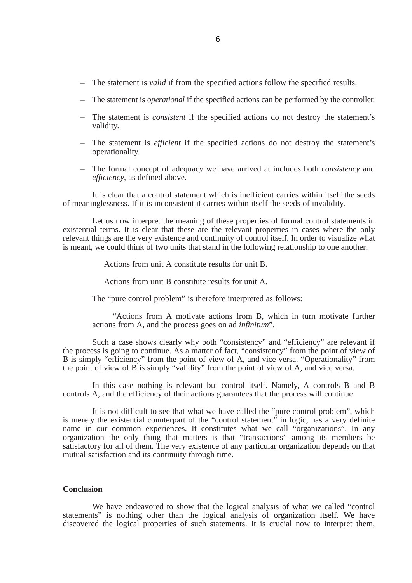- The statement is *valid* if from the specified actions follow the specified results.
- The statement is *operational* if the specified actions can be performed by the controller.
- The statement is *consistent* if the specified actions do not destroy the statement's validity.
- The statement is *efficient* if the specified actions do not destroy the statement's operationality.
- The formal concept of adequacy we have arrived at includes both *consistency* and *efficiency*, as defined above.

It is clear that a control statement which is inefficient carries within itself the seeds of meaninglessness. If it is inconsistent it carries within itself the seeds of invalidity.

Let us now interpret the meaning of these properties of formal control statements in existential terms. It is clear that these are the relevant properties in cases where the only relevant things are the very existence and continuity of control itself. In order to visualize what is meant, we could think of two units that stand in the following relationship to one another:

Actions from unit A constitute results for unit B.

Actions from unit B constitute results for unit A.

The "pure control problem" is therefore interpreted as follows:

"Actions from A motivate actions from B, which in turn motivate further actions from A, and the process goes on ad *infinitum*".

Such a case shows clearly why both "consistency" and "efficiency" are relevant if the process is going to continue. As a matter of fact, "consistency" from the point of view of B is simply "efficiency" from the point of view of A, and vice versa. "Operationality" from the point of view of B is simply "validity" from the point of view of A, and vice versa.

In this case nothing is relevant but control itself. Namely, A controls B and B controls A, and the efficiency of their actions guarantees that the process will continue.

It is not difficult to see that what we have called the "pure control problem", which is merely the existential counterpart of the "control statement" in logic, has a very definite name in our common experiences. It constitutes what we call "organizations". In any organization the only thing that matters is that "transactions" among its members be satisfactory for all of them. The very existence of any particular organization depends on that mutual satisfaction and its continuity through time.

#### **Conclusion**

We have endeavored to show that the logical analysis of what we called "control statements" is nothing other than the logical analysis of organization itself. We have discovered the logical properties of such statements. It is crucial now to interpret them,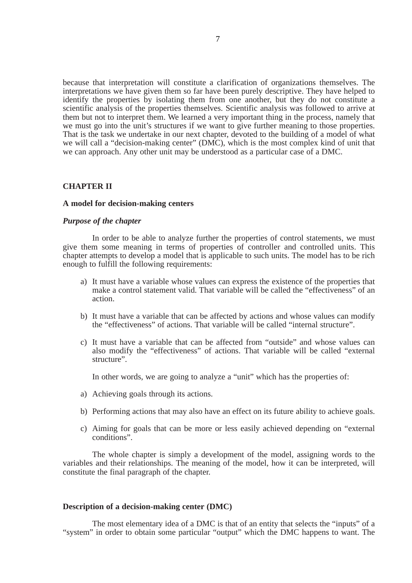because that interpretation will constitute a clarification of organizations themselves. The interpretations we have given them so far have been purely descriptive. They have helped to identify the properties by isolating them from one another, but they do not constitute a scientific analysis of the properties themselves. Scientific analysis was followed to arrive at them but not to interpret them. We learned a very important thing in the process, namely that we must go into the unit's structures if we want to give further meaning to those properties. That is the task we undertake in our next chapter, devoted to the building of a model of what we will call a "decision-making center" (DMC), which is the most complex kind of unit that we can approach. Any other unit may be understood as a particular case of a DMC.

# **CHAPTER II**

#### **A model for decision-making centers**

#### *Purpose of the chapter*

In order to be able to analyze further the properties of control statements, we must give them some meaning in terms of properties of controller and controlled units. This chapter attempts to develop a model that is applicable to such units. The model has to be rich enough to fulfill the following requirements:

- a) It must have a variable whose values can express the existence of the properties that make a control statement valid. That variable will be called the "effectiveness" of an action.
- b) It must have a variable that can be affected by actions and whose values can modify the "effectiveness" of actions. That variable will be called "internal structure".
- c) It must have a variable that can be affected from "outside" and whose values can also modify the "effectiveness" of actions. That variable will be called "external structure".

In other words, we are going to analyze a "unit" which has the properties of:

- a) Achieving goals through its actions.
- b) Performing actions that may also have an effect on its future ability to achieve goals.
- c) Aiming for goals that can be more or less easily achieved depending on "external conditions".

The whole chapter is simply a development of the model, assigning words to the variables and their relationships. The meaning of the model, how it can be interpreted, will constitute the final paragraph of the chapter.

# **Description of a decision-making center (DMC)**

The most elementary idea of a DMC is that of an entity that selects the "inputs" of a "system" in order to obtain some particular "output" which the DMC happens to want. The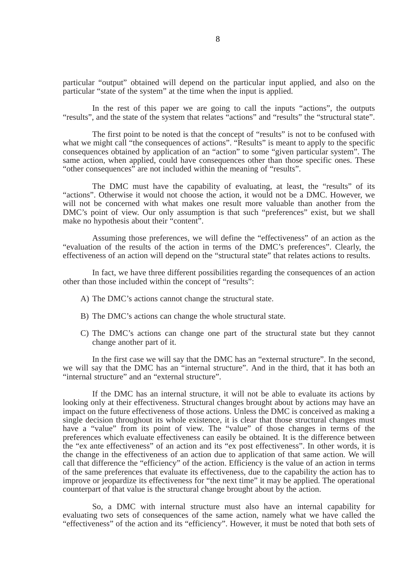particular "output" obtained will depend on the particular input applied, and also on the particular "state of the system" at the time when the input is applied.

In the rest of this paper we are going to call the inputs "actions", the outputs "results", and the state of the system that relates "actions" and "results" the "structural state".

The first point to be noted is that the concept of "results" is not to be confused with what we might call "the consequences of actions". "Results" is meant to apply to the specific consequences obtained by application of an "action" to some "given particular system". The same action, when applied, could have consequences other than those specific ones. These "other consequences" are not included within the meaning of "results".

The DMC must have the capability of evaluating, at least, the "results" of its "actions". Otherwise it would not choose the action, it would not be a DMC. However, we will not be concerned with what makes one result more valuable than another from the DMC's point of view. Our only assumption is that such "preferences" exist, but we shall make no hypothesis about their "content".

Assuming those preferences, we will define the "effectiveness" of an action as the "evaluation of the results of the action in terms of the DMC's preferences". Clearly, the effectiveness of an action will depend on the "structural state" that relates actions to results.

In fact, we have three different possibilities regarding the consequences of an action other than those included within the concept of "results":

- A) The DMC's actions cannot change the structural state.
- B) The DMC's actions can change the whole structural state.
- C) The DMC's actions can change one part of the structural state but they cannot change another part of it.

In the first case we will say that the DMC has an "external structure". In the second, we will say that the DMC has an "internal structure". And in the third, that it has both an "internal structure" and an "external structure".

If the DMC has an internal structure, it will not be able to evaluate its actions by looking only at their effectiveness. Structural changes brought about by actions may have an impact on the future effectiveness of those actions. Unless the DMC is conceived as making a single decision throughout its whole existence, it is clear that those structural changes must have a "value" from its point of view. The "value" of those changes in terms of the preferences which evaluate effectiveness can easily be obtained. It is the difference between the "ex ante effectiveness" of an action and its "ex post effectiveness". In other words, it is the change in the effectiveness of an action due to application of that same action. We will call that difference the "efficiency" of the action. Efficiency is the value of an action in terms of the same preferences that evaluate its effectiveness, due to the capability the action has to improve or jeopardize its effectiveness for "the next time" it may be applied. The operational counterpart of that value is the structural change brought about by the action.

So, a DMC with internal structure must also have an internal capability for evaluating two sets of consequences of the same action, namely what we have called the "effectiveness" of the action and its "efficiency". However, it must be noted that both sets of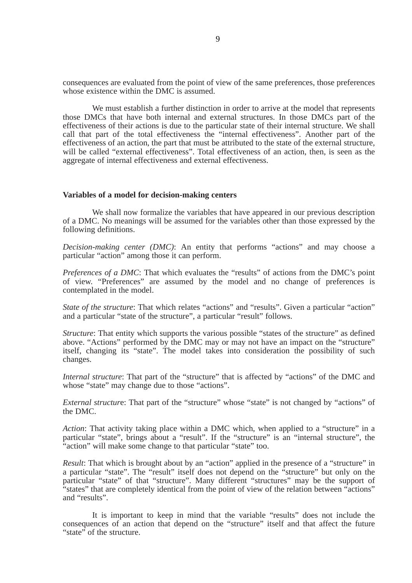consequences are evaluated from the point of view of the same preferences, those preferences whose existence within the DMC is assumed.

We must establish a further distinction in order to arrive at the model that represents those DMCs that have both internal and external structures. In those DMCs part of the effectiveness of their actions is due to the particular state of their internal structure. We shall call that part of the total effectiveness the "internal effectiveness". Another part of the effectiveness of an action, the part that must be attributed to the state of the external structure, will be called "external effectiveness". Total effectiveness of an action, then, is seen as the aggregate of internal effectiveness and external effectiveness.

#### **Variables of a model for decision-making centers**

We shall now formalize the variables that have appeared in our previous description of a DMC. No meanings will be assumed for the variables other than those expressed by the following definitions.

*Decision-making center (DMC)*: An entity that performs "actions" and may choose a particular "action" among those it can perform.

*Preferences of a DMC*: That which evaluates the "results" of actions from the DMC's point of view. "Preferences" are assumed by the model and no change of preferences is contemplated in the model.

*State of the structure*: That which relates "actions" and "results". Given a particular "action" and a particular "state of the structure", a particular "result" follows.

*Structure*: That entity which supports the various possible "states of the structure" as defined above. "Actions" performed by the DMC may or may not have an impact on the "structure" itself, changing its "state". The model takes into consideration the possibility of such changes.

*Internal structure*: That part of the "structure" that is affected by "actions" of the DMC and whose "state" may change due to those "actions".

*External structure:* That part of the "structure" whose "state" is not changed by "actions" of the DMC.

*Action*: That activity taking place within a DMC which, when applied to a "structure" in a particular "state", brings about a "result". If the "structure" is an "internal structure", the "action" will make some change to that particular "state" too.

*Result*: That which is brought about by an "action" applied in the presence of a "structure" in a particular "state". The "result" itself does not depend on the "structure" but only on the particular "state" of that "structure". Many different "structures" may be the support of "states" that are completely identical from the point of view of the relation between "actions" and "results".

It is important to keep in mind that the variable "results" does not include the consequences of an action that depend on the "structure" itself and that affect the future "state" of the structure.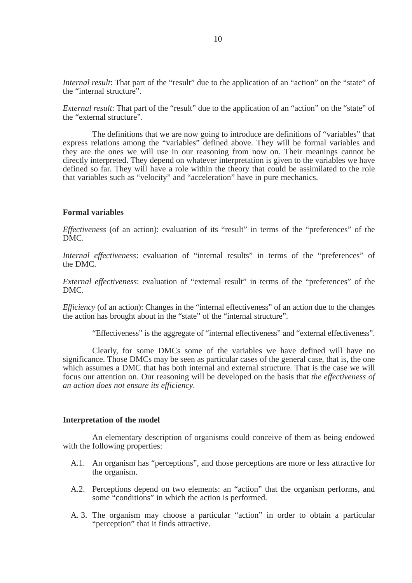*Internal result*: That part of the "result" due to the application of an "action" on the "state" of the "internal structure".

*External result:* That part of the "result" due to the application of an "action" on the "state" of the "external structure".

The definitions that we are now going to introduce are definitions of "variables" that express relations among the "variables" defined above. They will be formal variables and they are the ones we will use in our reasoning from now on. Their meanings cannot be directly interpreted. They depend on whatever interpretation is given to the variables we have defined so far. They will have a role within the theory that could be assimilated to the role that variables such as "velocity" and "acceleration" have in pure mechanics.

#### **Formal variables**

*Effectiveness* (of an action): evaluation of its "result" in terms of the "preferences" of the DMC.

*Internal effectiveness*: evaluation of "internal results" in terms of the "preferences" of the DMC.

*External effectiveness*: evaluation of "external result" in terms of the "preferences" of the DMC.

*Efficiency* (of an action): Changes in the "internal effectiveness" of an action due to the changes the action has brought about in the "state" of the "internal structure".

"Effectiveness" is the aggregate of "internal effectiveness" and "external effectiveness".

Clearly, for some DMCs some of the variables we have defined will have no significance. Those DMCs may be seen as particular cases of the general case, that is, the one which assumes a DMC that has both internal and external structure. That is the case we will focus our attention on. Our reasoning will be developed on the basis that *the effectiveness of an action does not ensure its efficiency*.

#### **Interpretation of the model**

An elementary description of organisms could conceive of them as being endowed with the following properties:

- A.1. An organism has "perceptions", and those perceptions are more or less attractive for the organism.
- A.2. Perceptions depend on two elements: an "action" that the organism performs, and some "conditions" in which the action is performed.
- A. 3. The organism may choose a particular "action" in order to obtain a particular "perception" that it finds attractive.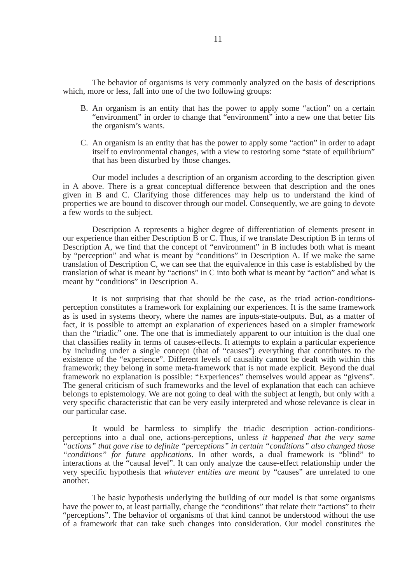The behavior of organisms is very commonly analyzed on the basis of descriptions which, more or less, fall into one of the two following groups:

- B. An organism is an entity that has the power to apply some "action" on a certain "environment" in order to change that "environment" into a new one that better fits the organism's wants.
- C. An organism is an entity that has the power to apply some "action" in order to adapt itself to environmental changes, with a view to restoring some "state of equilibrium" that has been disturbed by those changes.

Our model includes a description of an organism according to the description given in A above. There is a great conceptual difference between that description and the ones given in B and C. Clarifying those differences may help us to understand the kind of properties we are bound to discover through our model. Consequently, we are going to devote a few words to the subject.

Description A represents a higher degree of differentiation of elements present in our experience than either Description B or C. Thus, if we translate Description B in terms of Description A, we find that the concept of "environment" in B includes both what is meant by "perception" and what is meant by "conditions" in Description A. If we make the same translation of Description C, we can see that the equivalence in this case is established by the translation of what is meant by "actions" in C into both what is meant by "action" and what is meant by "conditions" in Description A.

It is not surprising that that should be the case, as the triad action-conditionsperception constitutes a framework for explaining our experiences. It is the same framework as is used in systems theory, where the names are inputs-state-outputs. But, as a matter of fact, it is possible to attempt an explanation of experiences based on a simpler framework than the "triadic" one. The one that is immediately apparent to our intuition is the dual one that classifies reality in terms of causes-effects. It attempts to explain a particular experience by including under a single concept (that of "causes") everything that contributes to the existence of the "experience". Different levels of causality cannot be dealt with within this framework; they belong in some meta-framework that is not made explicit. Beyond the dual framework no explanation is possible: "Experiences" themselves would appear as "givens". The general criticism of such frameworks and the level of explanation that each can achieve belongs to epistemology. We are not going to deal with the subject at length, but only with a very specific characteristic that can be very easily interpreted and whose relevance is clear in our particular case.

It would be harmless to simplify the triadic description action-conditionsperceptions into a dual one, actions-perceptions, unless *it happened that the very same "actions" that gave rise to definite "perceptions" in certain "conditions" also changed those "conditions" for future applications*. In other words, a dual framework is "blind" to interactions at the "causal level". It can only analyze the cause-effect relationship under the very specific hypothesis that *whatever entities are meant* by "causes" are unrelated to one another.

The basic hypothesis underlying the building of our model is that some organisms have the power to, at least partially, change the "conditions" that relate their "actions" to their "perceptions". The behavior of organisms of that kind cannot be understood without the use of a framework that can take such changes into consideration. Our model constitutes the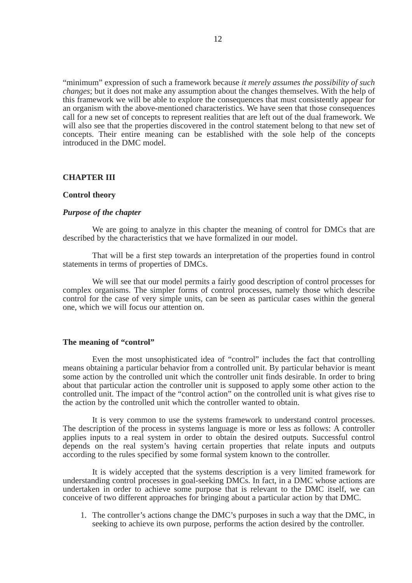"minimum" expression of such a framework because *it merely assumes the possibility of such changes*; but it does not make any assumption about the changes themselves. With the help of this framework we will be able to explore the consequences that must consistently appear for an organism with the above-mentioned characteristics. We have seen that those consequences call for a new set of concepts to represent realities that are left out of the dual framework. We will also see that the properties discovered in the control statement belong to that new set of concepts. Their entire meaning can be established with the sole help of the concepts introduced in the DMC model.

#### **CHAPTER III**

# **Control theory**

#### *Purpose of the chapter*

We are going to analyze in this chapter the meaning of control for DMCs that are described by the characteristics that we have formalized in our model.

That will be a first step towards an interpretation of the properties found in control statements in terms of properties of DMCs.

We will see that our model permits a fairly good description of control processes for complex organisms. The simpler forms of control processes, namely those which describe control for the case of very simple units, can be seen as particular cases within the general one, which we will focus our attention on.

#### **The meaning of "control"**

Even the most unsophisticated idea of "control" includes the fact that controlling means obtaining a particular behavior from a controlled unit. By particular behavior is meant some action by the controlled unit which the controller unit finds desirable. In order to bring about that particular action the controller unit is supposed to apply some other action to the controlled unit. The impact of the "control action" on the controlled unit is what gives rise to the action by the controlled unit which the controller wanted to obtain.

It is very common to use the systems framework to understand control processes. The description of the process in systems language is more or less as follows: A controller applies inputs to a real system in order to obtain the desired outputs. Successful control depends on the real system's having certain properties that relate inputs and outputs according to the rules specified by some formal system known to the controller.

It is widely accepted that the systems description is a very limited framework for understanding control processes in goal-seeking DMCs. In fact, in a DMC whose actions are undertaken in order to achieve some purpose that is relevant to the DMC itself, we can conceive of two different approaches for bringing about a particular action by that DMC.

1. The controller's actions change the DMC's purposes in such a way that the DMC, in seeking to achieve its own purpose, performs the action desired by the controller.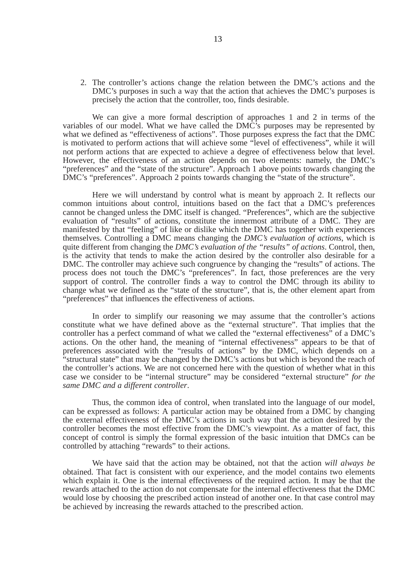2. The controller's actions change the relation between the DMC's actions and the DMC's purposes in such a way that the action that achieves the DMC's purposes is precisely the action that the controller, too, finds desirable.

We can give a more formal description of approaches 1 and 2 in terms of the variables of our model. What we have called the DMC's purposes may be represented by what we defined as "effectiveness of actions". Those purposes express the fact that the DMC is motivated to perform actions that will achieve some "level of effectiveness", while it will not perform actions that are expected to achieve a degree of effectiveness below that level. However, the effectiveness of an action depends on two elements: namely, the DMC's "preferences" and the "state of the structure". Approach 1 above points towards changing the DMC's "preferences". Approach 2 points towards changing the "state of the structure".

Here we will understand by control what is meant by approach 2. It reflects our common intuitions about control, intuitions based on the fact that a DMC's preferences cannot be changed unless the DMC itself is changed. "Preferences", which are the subjective evaluation of "results" of actions, constitute the innermost attribute of a DMC. They are manifested by that "feeling" of like or dislike which the DMC has together with experiences themselves. Controlling a DMC means changing the *DMC's evaluation of actions*, which is quite different from changing the *DMC's evaluation of the "results" of actions*. Control, then, is the activity that tends to make the action desired by the controller also desirable for a DMC. The controller may achieve such congruence by changing the "results" of actions. The process does not touch the DMC's "preferences". In fact, those preferences are the very support of control. The controller finds a way to control the DMC through its ability to change what we defined as the "state of the structure", that is, the other element apart from "preferences" that influences the effectiveness of actions.

In order to simplify our reasoning we may assume that the controller's actions constitute what we have defined above as the "external structure". That implies that the controller has a perfect command of what we called the "external effectiveness" of a DMC's actions. On the other hand, the meaning of "internal effectiveness" appears to be that of preferences associated with the "results of actions" by the DMC, which depends on a "structural state" that may be changed by the DMC's actions but which is beyond the reach of the controller's actions. We are not concerned here with the question of whether what in this case we consider to be "internal structure" may be considered "external structure" *for the same DMC and a different controller*.

Thus, the common idea of control, when translated into the language of our model, can be expressed as follows: A particular action may be obtained from a DMC by changing the external effectiveness of the DMC's actions in such way that the action desired by the controller becomes the most effective from the DMC's viewpoint. As a matter of fact, this concept of control is simply the formal expression of the basic intuition that DMCs can be controlled by attaching "rewards" to their actions.

We have said that the action may be obtained, not that the action *will always be* obtained. That fact is consistent with our experience, and the model contains two elements which explain it. One is the internal effectiveness of the required action. It may be that the rewards attached to the action do not compensate for the internal effectiveness that the DMC would lose by choosing the prescribed action instead of another one. In that case control may be achieved by increasing the rewards attached to the prescribed action.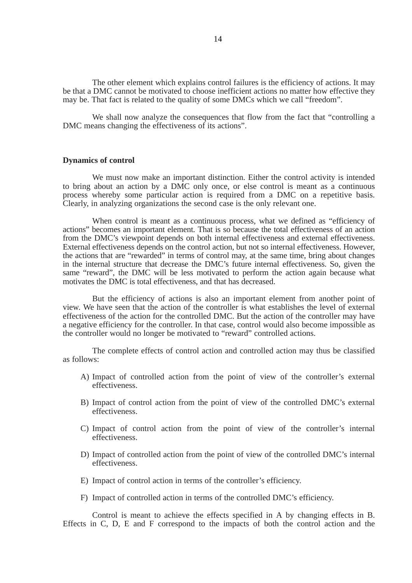The other element which explains control failures is the efficiency of actions. It may be that a DMC cannot be motivated to choose inefficient actions no matter how effective they may be. That fact is related to the quality of some DMCs which we call "freedom".

We shall now analyze the consequences that flow from the fact that "controlling a DMC means changing the effectiveness of its actions".

#### **Dynamics of control**

We must now make an important distinction. Either the control activity is intended to bring about an action by a DMC only once, or else control is meant as a continuous process whereby some particular action is required from a DMC on a repetitive basis. Clearly, in analyzing organizations the second case is the only relevant one.

When control is meant as a continuous process, what we defined as "efficiency of actions" becomes an important element. That is so because the total effectiveness of an action from the DMC's viewpoint depends on both internal effectiveness and external effectiveness. External effectiveness depends on the control action, but not so internal effectiveness. However, the actions that are "rewarded" in terms of control may, at the same time, bring about changes in the internal structure that decrease the DMC's future internal effectiveness. So, given the same "reward", the DMC will be less motivated to perform the action again because what motivates the DMC is total effectiveness, and that has decreased.

But the efficiency of actions is also an important element from another point of view. We have seen that the action of the controller is what establishes the level of external effectiveness of the action for the controlled DMC. But the action of the controller may have a negative efficiency for the controller. In that case, control would also become impossible as the controller would no longer be motivated to "reward" controlled actions.

The complete effects of control action and controlled action may thus be classified as follows:

- A) Impact of controlled action from the point of view of the controller's external effectiveness.
- B) Impact of control action from the point of view of the controlled DMC's external effectiveness.
- C) Impact of control action from the point of view of the controller's internal effectiveness.
- D) Impact of controlled action from the point of view of the controlled DMC's internal effectiveness.
- E) Impact of control action in terms of the controller's efficiency.
- F) Impact of controlled action in terms of the controlled DMC's efficiency.

Control is meant to achieve the effects specified in A by changing effects in B. Effects in C, D, E and F correspond to the impacts of both the control action and the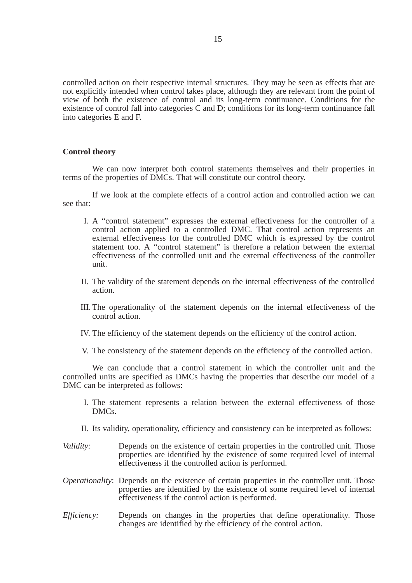controlled action on their respective internal structures. They may be seen as effects that are not explicitly intended when control takes place, although they are relevant from the point of view of both the existence of control and its long-term continuance. Conditions for the existence of control fall into categories C and D; conditions for its long-term continuance fall into categories E and F.

#### **Control theory**

We can now interpret both control statements themselves and their properties in terms of the properties of DMCs. That will constitute our control theory.

If we look at the complete effects of a control action and controlled action we can see that:

- I. A "control statement" expresses the external effectiveness for the controller of a control action applied to a controlled DMC. That control action represents an external effectiveness for the controlled DMC which is expressed by the control statement too. A "control statement" is therefore a relation between the external effectiveness of the controlled unit and the external effectiveness of the controller unit.
- II. The validity of the statement depends on the internal effectiveness of the controlled action.
- III. The operationality of the statement depends on the internal effectiveness of the control action.
- IV. The efficiency of the statement depends on the efficiency of the control action.
- V. The consistency of the statement depends on the efficiency of the controlled action.

We can conclude that a control statement in which the controller unit and the controlled units are specified as DMCs having the properties that describe our model of a DMC can be interpreted as follows:

- I. The statement represents a relation between the external effectiveness of those DMCs.
- II. Its validity, operationality, efficiency and consistency can be interpreted as follows:
- *Validity:* Depends on the existence of certain properties in the controlled unit. Those properties are identified by the existence of some required level of internal effectiveness if the controlled action is performed.
- *Operationality*: Depends on the existence of certain properties in the controller unit. Those properties are identified by the existence of some required level of internal effectiveness if the control action is performed.
- *Efficiency:* Depends on changes in the properties that define operationality. Those changes are identified by the efficiency of the control action.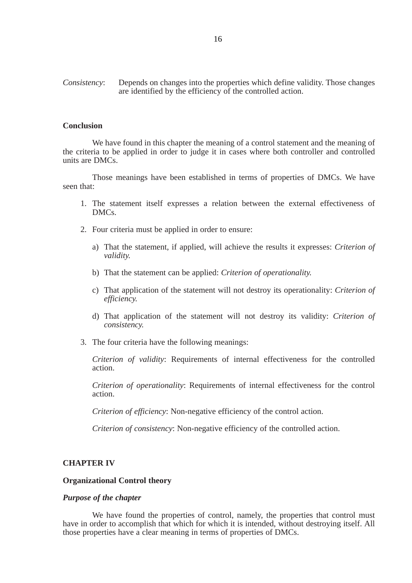*Consistency*: Depends on changes into the properties which define validity. Those changes are identified by the efficiency of the controlled action.

# **Conclusion**

We have found in this chapter the meaning of a control statement and the meaning of the criteria to be applied in order to judge it in cases where both controller and controlled units are DMCs.

Those meanings have been established in terms of properties of DMCs. We have seen that:

- 1. The statement itself expresses a relation between the external effectiveness of DMCs.
- 2. Four criteria must be applied in order to ensure:
	- a) That the statement, if applied, will achieve the results it expresses: *Criterion of validity.*
	- b) That the statement can be applied: *Criterion of operationality.*
	- c) That application of the statement will not destroy its operationality: *Criterion of efficiency.*
	- d) That application of the statement will not destroy its validity: *Criterion of consistency.*
- 3. The four criteria have the following meanings:

*Criterion of validity*: Requirements of internal effectiveness for the controlled action.

*Criterion of operationality*: Requirements of internal effectiveness for the control action.

*Criterion of efficiency*: Non-negative efficiency of the control action.

*Criterion of consistency*: Non-negative efficiency of the controlled action.

#### **CHAPTER IV**

#### **Organizational Control theory**

# *Purpose of the chapter*

We have found the properties of control, namely, the properties that control must have in order to accomplish that which for which it is intended, without destroying itself. All those properties have a clear meaning in terms of properties of DMCs.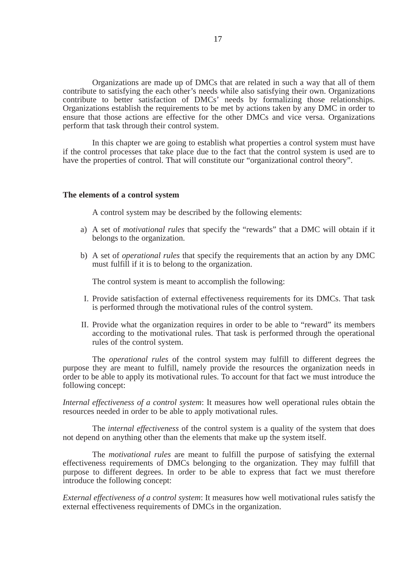Organizations are made up of DMCs that are related in such a way that all of them contribute to satisfying the each other's needs while also satisfying their own. Organizations contribute to better satisfaction of DMCs' needs by formalizing those relationships. Organizations establish the requirements to be met by actions taken by any DMC in order to ensure that those actions are effective for the other DMCs and vice versa. Organizations perform that task through their control system.

In this chapter we are going to establish what properties a control system must have if the control processes that take place due to the fact that the control system is used are to have the properties of control. That will constitute our "organizational control theory".

#### **The elements of a control system**

A control system may be described by the following elements:

- a) A set of *motivational rules* that specify the "rewards" that a DMC will obtain if it belongs to the organization.
- b) A set of *operational rules* that specify the requirements that an action by any DMC must fulfill if it is to belong to the organization.

The control system is meant to accomplish the following:

- I. Provide satisfaction of external effectiveness requirements for its DMCs. That task is performed through the motivational rules of the control system.
- II. Provide what the organization requires in order to be able to "reward" its members according to the motivational rules. That task is performed through the operational rules of the control system.

The *operational rules* of the control system may fulfill to different degrees the purpose they are meant to fulfill, namely provide the resources the organization needs in order to be able to apply its motivational rules. To account for that fact we must introduce the following concept:

*Internal effectiveness of a control system*: It measures how well operational rules obtain the resources needed in order to be able to apply motivational rules.

The *internal effectiveness* of the control system is a quality of the system that does not depend on anything other than the elements that make up the system itself.

The *motivational rules* are meant to fulfill the purpose of satisfying the external effectiveness requirements of DMCs belonging to the organization. They may fulfill that purpose to different degrees. In order to be able to express that fact we must therefore introduce the following concept:

*External effectiveness of a control system*: It measures how well motivational rules satisfy the external effectiveness requirements of DMCs in the organization.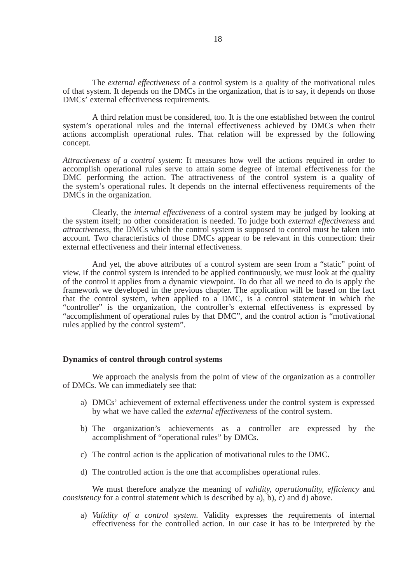The *external effectiveness* of a control system is a quality of the motivational rules of that system. It depends on the DMCs in the organization, that is to say, it depends on those DMCs' external effectiveness requirements.

A third relation must be considered, too. It is the one established between the control system's operational rules and the internal effectiveness achieved by DMCs when their actions accomplish operational rules. That relation will be expressed by the following concept.

*Attractiveness of a control system*: It measures how well the actions required in order to accomplish operational rules serve to attain some degree of internal effectiveness for the DMC performing the action. The attractiveness of the control system is a quality of the system's operational rules. It depends on the internal effectiveness requirements of the DMCs in the organization.

Clearly, the *internal effectiveness* of a control system may be judged by looking at the system itself; no other consideration is needed. To judge both *external effectiveness* and *attractiveness*, the DMCs which the control system is supposed to control must be taken into account. Two characteristics of those DMCs appear to be relevant in this connection: their external effectiveness and their internal effectiveness.

And yet, the above attributes of a control system are seen from a "static" point of view. If the control system is intended to be applied continuously, we must look at the quality of the control it applies from a dynamic viewpoint. To do that all we need to do is apply the framework we developed in the previous chapter. The application will be based on the fact that the control system, when applied to a DMC, is a control statement in which the "controller" is the organization, the controller's external effectiveness is expressed by "accomplishment of operational rules by that DMC", and the control action is "motivational rules applied by the control system".

# **Dynamics of control through control systems**

We approach the analysis from the point of view of the organization as a controller of DMCs. We can immediately see that:

- a) DMCs' achievement of external effectiveness under the control system is expressed by what we have called the *external effectiveness* of the control system.
- b) The organization's achievements as a controller are expressed by the accomplishment of "operational rules" by DMCs.
- c) The control action is the application of motivational rules to the DMC.
- d) The controlled action is the one that accomplishes operational rules.

We must therefore analyze the meaning of *validity, operationality, efficiency* and *consistency* for a control statement which is described by a), b), c) and d) above.

a) *Validity of a control system*. Validity expresses the requirements of internal effectiveness for the controlled action. In our case it has to be interpreted by the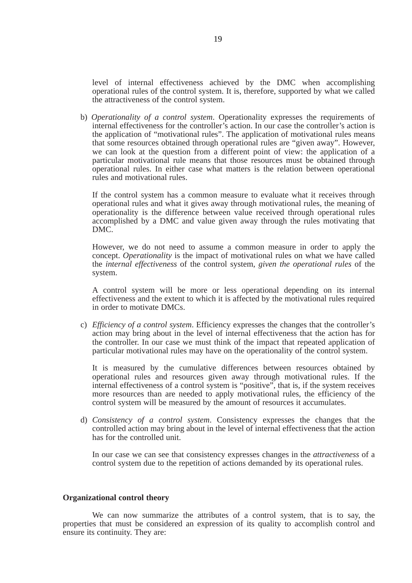level of internal effectiveness achieved by the DMC when accomplishing operational rules of the control system. It is, therefore, supported by what we called the attractiveness of the control system.

b) *Operationality of a control system*. Operationality expresses the requirements of internal effectiveness for the controller's action. In our case the controller's action is the application of "motivational rules". The application of motivational rules means that some resources obtained through operational rules are "given away". However, we can look at the question from a different point of view: the application of a particular motivational rule means that those resources must be obtained through operational rules. In either case what matters is the relation between operational rules and motivational rules.

If the control system has a common measure to evaluate what it receives through operational rules and what it gives away through motivational rules, the meaning of operationality is the difference between value received through operational rules accomplished by a DMC and value given away through the rules motivating that DMC.

However, we do not need to assume a common measure in order to apply the concept. *Operationality* is the impact of motivational rules on what we have called the *internal effectiveness* of the control system, *given the operational rules* of the system.

A control system will be more or less operational depending on its internal effectiveness and the extent to which it is affected by the motivational rules required in order to motivate DMCs.

c) *Efficiency of a control system*. Efficiency expresses the changes that the controller's action may bring about in the level of internal effectiveness that the action has for the controller. In our case we must think of the impact that repeated application of particular motivational rules may have on the operationality of the control system.

It is measured by the cumulative differences between resources obtained by operational rules and resources given away through motivational rules. If the internal effectiveness of a control system is "positive", that is, if the system receives more resources than are needed to apply motivational rules, the efficiency of the control system will be measured by the amount of resources it accumulates.

d) *Consistency of a control system*. Consistency expresses the changes that the controlled action may bring about in the level of internal effectiveness that the action has for the controlled unit.

In our case we can see that consistency expresses changes in the *attractiveness* of a control system due to the repetition of actions demanded by its operational rules.

# **Organizational control theory**

We can now summarize the attributes of a control system, that is to say, the properties that must be considered an expression of its quality to accomplish control and ensure its continuity. They are: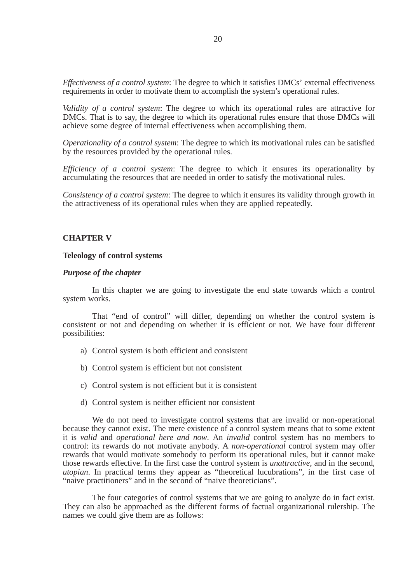*Effectiveness of a control system*: The degree to which it satisfies DMCs' external effectiveness requirements in order to motivate them to accomplish the system's operational rules.

*Validity of a control system*: The degree to which its operational rules are attractive for DMCs. That is to say, the degree to which its operational rules ensure that those DMCs will achieve some degree of internal effectiveness when accomplishing them.

*Operationality of a control system*: The degree to which its motivational rules can be satisfied by the resources provided by the operational rules.

*Efficiency of a control system*: The degree to which it ensures its operationality by accumulating the resources that are needed in order to satisfy the motivational rules.

*Consistency of a control system*: The degree to which it ensures its validity through growth in the attractiveness of its operational rules when they are applied repeatedly.

# **CHAPTER V**

#### **Teleology of control systems**

#### *Purpose of the chapter*

In this chapter we are going to investigate the end state towards which a control system works.

That "end of control" will differ, depending on whether the control system is consistent or not and depending on whether it is efficient or not. We have four different possibilities:

- a) Control system is both efficient and consistent
- b) Control system is efficient but not consistent
- c) Control system is not efficient but it is consistent
- d) Control system is neither efficient nor consistent

We do not need to investigate control systems that are invalid or non-operational because they cannot exist. The mere existence of a control system means that to some extent it is *valid* and *operational here and now*. An *invalid* control system has no members to control: its rewards do not motivate anybody. A *non-operational* control system may offer rewards that would motivate somebody to perform its operational rules, but it cannot make those rewards effective. In the first case the control system is *unattractive*, and in the second, *utopian*. In practical terms they appear as "theoretical lucubrations", in the first case of "naive practitioners" and in the second of "naive theoreticians".

The four categories of control systems that we are going to analyze do in fact exist. They can also be approached as the different forms of factual organizational rulership. The names we could give them are as follows: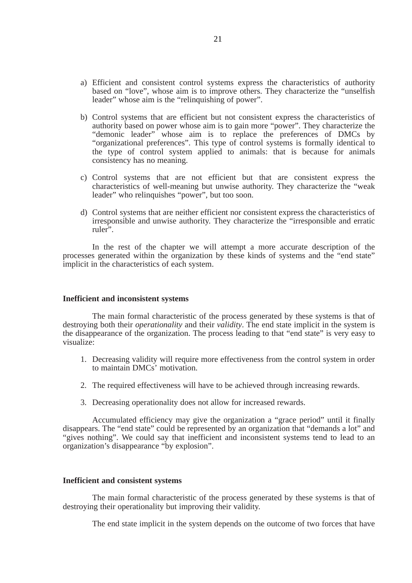- a) Efficient and consistent control systems express the characteristics of authority based on "love", whose aim is to improve others. They characterize the "unselfish leader" whose aim is the "relinquishing of power".
- b) Control systems that are efficient but not consistent express the characteristics of authority based on power whose aim is to gain more "power". They characterize the "demonic leader" whose aim is to replace the preferences of DMCs by "organizational preferences". This type of control systems is formally identical to the type of control system applied to animals: that is because for animals consistency has no meaning.
- c) Control systems that are not efficient but that are consistent express the characteristics of well-meaning but unwise authority. They characterize the "weak leader" who relinquishes "power", but too soon.
- d) Control systems that are neither efficient nor consistent express the characteristics of irresponsible and unwise authority. They characterize the "irresponsible and erratic ruler<sup>3</sup>

In the rest of the chapter we will attempt a more accurate description of the processes generated within the organization by these kinds of systems and the "end state" implicit in the characteristics of each system.

#### **Inefficient and inconsistent systems**

The main formal characteristic of the process generated by these systems is that of destroying both their *operationality* and their *validity*. The end state implicit in the system is the disappearance of the organization. The process leading to that "end state" is very easy to visualize:

- 1. Decreasing validity will require more effectiveness from the control system in order to maintain DMCs' motivation.
- 2. The required effectiveness will have to be achieved through increasing rewards.
- 3. Decreasing operationality does not allow for increased rewards.

Accumulated efficiency may give the organization a "grace period" until it finally disappears. The "end state" could be represented by an organization that "demands a lot" and "gives nothing". We could say that inefficient and inconsistent systems tend to lead to an organization's disappearance "by explosion".

# **Inefficient and consistent systems**

The main formal characteristic of the process generated by these systems is that of destroying their operationality but improving their validity.

The end state implicit in the system depends on the outcome of two forces that have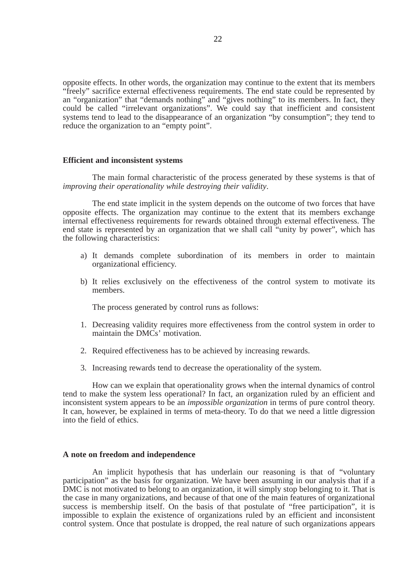opposite effects. In other words, the organization may continue to the extent that its members "freely" sacrifice external effectiveness requirements. The end state could be represented by an "organization" that "demands nothing" and "gives nothing" to its members. In fact, they could be called "irrelevant organizations". We could say that inefficient and consistent systems tend to lead to the disappearance of an organization "by consumption"; they tend to reduce the organization to an "empty point".

#### **Efficient and inconsistent systems**

The main formal characteristic of the process generated by these systems is that of *improving their operationality while destroying their validity*.

The end state implicit in the system depends on the outcome of two forces that have opposite effects. The organization may continue to the extent that its members exchange internal effectiveness requirements for rewards obtained through external effectiveness. The end state is represented by an organization that we shall call "unity by power", which has the following characteristics:

- a) It demands complete subordination of its members in order to maintain organizational efficiency.
- b) It relies exclusively on the effectiveness of the control system to motivate its members.

The process generated by control runs as follows:

- 1. Decreasing validity requires more effectiveness from the control system in order to maintain the DMCs' motivation.
- 2. Required effectiveness has to be achieved by increasing rewards.
- 3. Increasing rewards tend to decrease the operationality of the system.

How can we explain that operationality grows when the internal dynamics of control tend to make the system less operational? In fact, an organization ruled by an efficient and inconsistent system appears to be an *impossible organization* in terms of pure control theory. It can, however, be explained in terms of meta-theory. To do that we need a little digression into the field of ethics.

#### **A note on freedom and independence**

An implicit hypothesis that has underlain our reasoning is that of "voluntary participation" as the basis for organization. We have been assuming in our analysis that if a DMC is not motivated to belong to an organization, it will simply stop belonging to it. That is the case in many organizations, and because of that one of the main features of organizational success is membership itself. On the basis of that postulate of "free participation", it is impossible to explain the existence of organizations ruled by an efficient and inconsistent control system. Once that postulate is dropped, the real nature of such organizations appears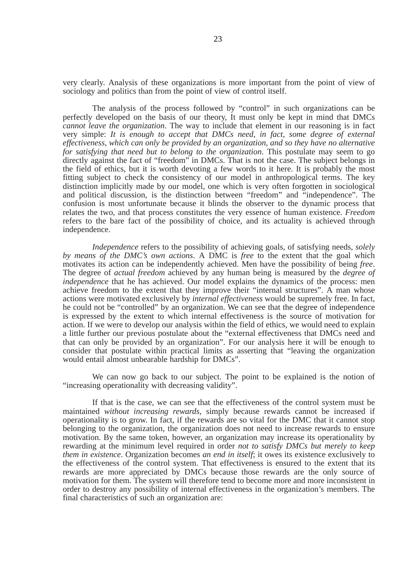very clearly. Analysis of these organizations is more important from the point of view of sociology and politics than from the point of view of control itself.

The analysis of the process followed by "control" in such organizations can be perfectly developed on the basis of our theory, It must only be kept in mind that DMCs *cannot leave the organization*. The way to include that element in our reasoning is in fact very simple: *It is enough to accept that DMCs need, in fact, some degree of external effectiveness, which can only be provided by an organization, and so they have no alternative for satisfying that need but to belong to the organization*. This postulate may seem to go directly against the fact of "freedom" in DMCs. That is not the case. The subject belongs in the field of ethics, but it is worth devoting a few words to it here. It is probably the most fitting subject to check the consistency of our model in anthropological terms. The key distinction implicitly made by our model, one which is very often forgotten in sociological and political discussion, is the distinction between "freedom" and "independence". The confusion is most unfortunate because it blinds the observer to the dynamic process that relates the two, and that process constitutes the very essence of human existence. *Freedom* refers to the bare fact of the possibility of choice, and its actuality is achieved through independence.

*Independence* refers to the possibility of achieving goals, of satisfying needs, *solely by means of the DMC's own actions*. A DMC is *free* to the extent that the goal which motivates its action can be independently achieved. Men have the possibility of being *free*. The degree of *actual freedom* achieved by any human being is measured by the *degree of independence* that he has achieved. Our model explains the dynamics of the process: men achieve freedom to the extent that they improve their "internal structures". A man whose actions were motivated exclusively by *internal effectiveness* would be supremely free. In fact, he could not be "controlled" by an organization. We can see that the degree of independence is expressed by the extent to which internal effectiveness is the source of motivation for action. If we were to develop our analysis within the field of ethics, we would need to explain a little further our previous postulate about the "external effectiveness that DMCs need and that can only be provided by an organization". For our analysis here it will be enough to consider that postulate within practical limits as asserting that "leaving the organization would entail almost unbearable hardship for DMCs".

We can now go back to our subject. The point to be explained is the notion of "increasing operationality with decreasing validity".

If that is the case, we can see that the effectiveness of the control system must be maintained *without increasing rewards*, simply because rewards cannot be increased if operationality is to grow. In fact, if the rewards are so vital for the DMC that it cannot stop belonging to the organization, the organization does not need to increase rewards to ensure motivation. By the same token, however, an organization may increase its operationality by rewarding at the minimum level required in order *not to satisfy DMCs but merely to keep them in existence*. Organization becomes *an end in itself*; it owes its existence exclusively to the effectiveness of the control system. That effectiveness is ensured to the extent that its rewards are more appreciated by DMCs because those rewards are the only source of motivation for them. The system will therefore tend to become more and more inconsistent in order to destroy any possibility of internal effectiveness in the organization's members. The final characteristics of such an organization are: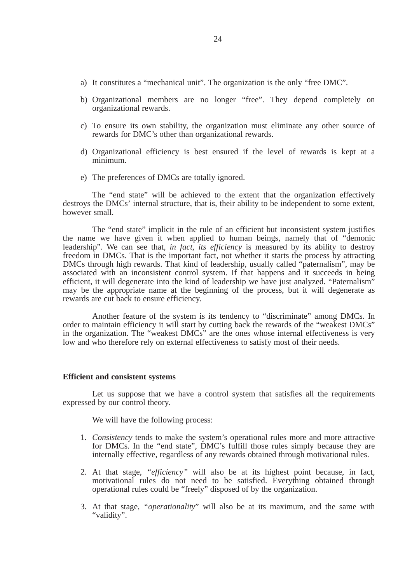- a) It constitutes a "mechanical unit". The organization is the only "free DMC".
- b) Organizational members are no longer "free". They depend completely on organizational rewards.
- c) To ensure its own stability, the organization must eliminate any other source of rewards for DMC's other than organizational rewards.
- d) Organizational efficiency is best ensured if the level of rewards is kept at a minimum.
- e) The preferences of DMCs are totally ignored.

The "end state" will be achieved to the extent that the organization effectively destroys the DMCs' internal structure, that is, their ability to be independent to some extent, however small.

The "end state" implicit in the rule of an efficient but inconsistent system justifies the name we have given it when applied to human beings, namely that of "demonic leadership". We can see that, *in fact, its efficiency* is measured by its ability to destroy freedom in DMCs. That is the important fact, not whether it starts the process by attracting DMCs through high rewards. That kind of leadership, usually called "paternalism", may be associated with an inconsistent control system. If that happens and it succeeds in being efficient, it will degenerate into the kind of leadership we have just analyzed. "Paternalism" may be the appropriate name at the beginning of the process, but it will degenerate as rewards are cut back to ensure efficiency.

Another feature of the system is its tendency to "discriminate" among DMCs. In order to maintain efficiency it will start by cutting back the rewards of the "weakest DMCs" in the organization. The "weakest DMCs" are the ones whose internal effectiveness is very low and who therefore rely on external effectiveness to satisfy most of their needs.

#### **Efficient and consistent systems**

Let us suppose that we have a control system that satisfies all the requirements expressed by our control theory.

We will have the following process:

- 1. *Consistency* tends to make the system's operational rules more and more attractive for DMCs. In the "end state", DMC's fulfill those rules simply because they are internally effective, regardless of any rewards obtained through motivational rules.
- 2. At that stage, *"efficiency"* will also be at its highest point because, in fact, motivational rules do not need to be satisfied. Everything obtained through operational rules could be "freely" disposed of by the organization.
- 3. At that stage, *"operationality*" will also be at its maximum, and the same with "validity".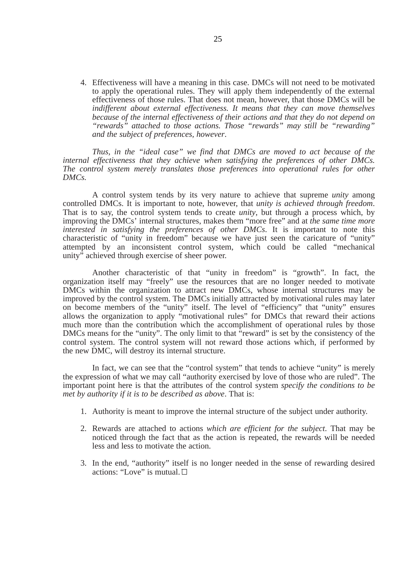4. Effectiveness will have a meaning in this case. DMCs will not need to be motivated to apply the operational rules. They will apply them independently of the external effectiveness of those rules. That does not mean, however, that those DMCs will be *indifferent about external effectiveness. It means that they can move themselves because of the internal effectiveness of their actions and that they do not depend on "rewards" attached to those actions. Those "rewards" may still be "rewarding" and the subject of preferences, however*.

*Thus, in the "ideal case" we find that DMCs are moved to act because of the internal effectiveness that they achieve when satisfying the preferences of other DMCs. The control system merely translates those preferences into operational rules for other DMCs.*

A control system tends by its very nature to achieve that supreme *unity* among controlled DMCs. It is important to note, however, that *unity is achieved through freedom*. That is to say, the control system tends to create *unity*, but through a process which, by improving the DMCs' internal structures, makes them "more free" and at *the same time more interested in satisfying the preferences of other DMCs*. It is important to note this characteristic of "unity in freedom" because we have just seen the caricature of "unity" attempted by an inconsistent control system, which could be called "mechanical unity" achieved through exercise of sheer power.

Another characteristic of that "unity in freedom" is "growth". In fact, the organization itself may "freely" use the resources that are no longer needed to motivate DMCs within the organization to attract new DMCs, whose internal structures may be improved by the control system. The DMCs initially attracted by motivational rules may later on become members of the "unity" itself. The level of "efficiency" that "unity" ensures allows the organization to apply "motivational rules" for DMCs that reward their actions much more than the contribution which the accomplishment of operational rules by those DMCs means for the "unity". The only limit to that "reward" is set by the consistency of the control system. The control system will not reward those actions which, if performed by the new DMC, will destroy its internal structure.

In fact, we can see that the "control system" that tends to achieve "unity" is merely the expression of what we may call "authority exercised by love of those who are ruled". The important point here is that the attributes of the control system *specify the conditions to be met by authority if it is to be described as above*. That is:

- 1. Authority is meant to improve the internal structure of the subject under authority.
- 2. Rewards are attached to actions *which are efficient for the subject*. That may be noticed through the fact that as the action is repeated, the rewards will be needed less and less to motivate the action.
- 3. In the end, "authority" itself is no longer needed in the sense of rewarding desired actions: "Love" is mutual.  $\square$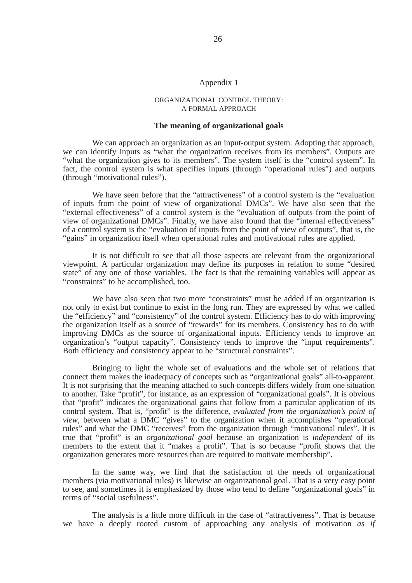# Appendix 1

#### ORGANIZATIONAL CONTROL THEORY: A FORMAL APPROACH

# **The meaning of organizational goals**

We can approach an organization as an input-output system. Adopting that approach, we can identify inputs as "what the organization receives from its members". Outputs are "what the organization gives to its members". The system itself is the "control system". In fact, the control system is what specifies inputs (through "operational rules") and outputs (through "motivational rules").

We have seen before that the "attractiveness" of a control system is the "evaluation of inputs from the point of view of organizational DMCs". We have also seen that the "external effectiveness" of a control system is the "evaluation of outputs from the point of view of organizational DMCs". Finally, we have also found that the "internal effectiveness" of a control system is the "evaluation of inputs from the point of view of outputs", that is, the "gains" in organization itself when operational rules and motivational rules are applied.

It is not difficult to see that all those aspects are relevant from the organizational viewpoint. A particular organization may define its purposes in relation to some "desired state" of any one of those variables. The fact is that the remaining variables will appear as "constraints" to be accomplished, too.

We have also seen that two more "constraints" must be added if an organization is not only to exist but continue to exist in the long run. They are expressed by what we called the "efficiency" and "consistency" of the control system. Efficiency has to do with improving the organization itself as a source of "rewards" for its members. Consistency has to do with improving DMCs as the source of organizational inputs. Efficiency tends to improve an organization's "output capacity". Consistency tends to improve the "input requirements". Both efficiency and consistency appear to be "structural constraints".

Bringing to light the whole set of evaluations and the whole set of relations that connect them makes the inadequacy of concepts such as "organizational goals" all-to-apparent. It is not surprising that the meaning attached to such concepts differs widely from one situation to another. Take "profit", for instance, as an expression of "organizational goals". It is obvious that "profit" indicates the organizational gains that follow from a particular application of its control system. That is, "profit" is the difference, *evaluated from the organization's point of view*, between what a DMC "gives" to the organization when it accomplishes "operational rules" and what the DMC "receives" from the organization through "motivational rules". It is true that "profit" is an *organizational goal* because an organization is *independent* of its members to the extent that it "makes a profit". That is so because "profit shows that the organization generates more resources than are required to motivate membership".

In the same way, we find that the satisfaction of the needs of organizational members (via motivational rules) is likewise an organizational goal. That is a very easy point to see, and sometimes it is emphasized by those who tend to define "organizational goals" in terms of "social usefulness".

The analysis is a little more difficult in the case of "attractiveness". That is because we have a deeply rooted custom of approaching any analysis of motivation *as if*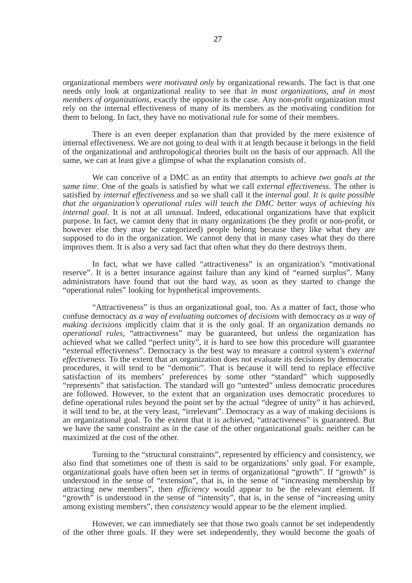organizational members *were motivated only* by organizational rewards. The fact is that one needs only look at organizational reality to see that *in most organizations, and in most members of organizations*, exactly the opposite is the case. Any non-profit organization must rely on the internal effectiveness of many of its members as the motivating condition for them to belong. In fact, they have no motivational rule for some of their members.

There is an even deeper explanation than that provided by the mere existence of internal effectiveness. We are not going to deal with it at length because it belongs in the field of the organizational and anthropological theories built on the basis of our approach. All the same, we can at least give a glimpse of what the explanation consists of.

We can conceive of a DMC as an entity that attempts to achieve *two goals at the same time*. One of the goals is satisfied by what we call *external effectiveness*. The other is satisfied by *internal effectiveness* and so we shall call it the *internal goal. It is quite possible that the organization's operational rules will teach the DMC better ways of achieving his internal goal*. It is not at all unusual. Indeed, educational organizations have that explicit purpose. In fact, we cannot deny that in many organizations (be they profit or non-profit, or however else they may be categorized) people belong because they like what they are supposed to do in the organization. We cannot deny that in many cases what they do there improves them. It is also a very sad fact that often what they do there destroys them.

In fact, what we have called "attractiveness" is an organization's "motivational reserve". It is a better insurance against failure than any kind of "earned surplus". Many administrators have found that out the hard way, as soon as they started to change the "operational rules" looking for hypothetical improvements.

"Attractiveness" is thus an organizational goal, too. As a matter of fact, those who confuse democracy *as a way of evaluating outcomes of decisions* with democracy *as a way of making decisions* implicitly claim that it is the only goal. If an organization demands *no operational rules*, "attractiveness" may be guaranteed, but unless the organization has achieved what we called "perfect unity", it is hard to see how this procedure will guarantee "external effectiveness". Democracy is the best way to measure a control system's *external effectiveness*. To the extent that an organization does not evaluate its decisions by democratic procedures, it will tend to be "demonic". That is because it will tend to replace effective satisfaction of its members' preferences by some other "standard" which supposedly "represents" that satisfaction. The standard will go "untested" unless democratic procedures are followed. However, to the extent that an organization uses democratic procedures to define operational rules beyond the point set by the actual "degree of unity" it has achieved, it will tend to be, at the very least, "irrelevant". Democracy as a way of making decisions is an organizational goal. To the extent that it is achieved, "attractiveness" is guaranteed. But we have the same constraint as in the case of the other organizational goals: neither can be maximized at the cost of the other.

Turning to the "structural constraints", represented by efficiency and consistency, we also find that sometimes one of them is said to be organizations' only goal. For example, organizational goals have often been set in terms of organizational "growth". If "growth" is understood in the sense of "extension", that is, in the sense of "increasing membership by attracting new members", then *efficiency* would appear to be the relevant element. If "growth" is understood in the sense of "intensity", that is, in the sense of "increasing unity among existing members", then *consistency* would appear to be the element implied.

However, we can immediately see that those two goals cannot be set independently of the other three goals. If they were set independently, they would become the goals of